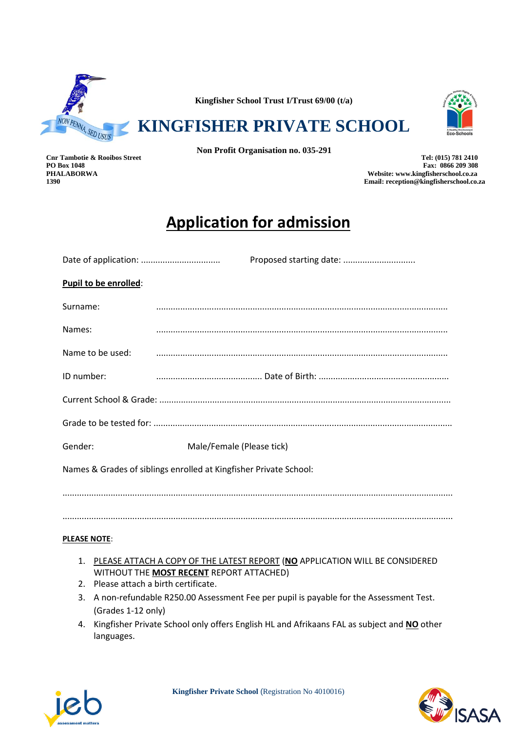

**Kingfisher School Trust I/Trust 69/00 (t/a)**

**KINGFISHER PRIVATE SCHOOL**



**Non Profit Organisation no. 035-291**

**Cnr Tambotie & Rooibos Street Tel: (015) 781 2410** PO Box 1048 Fax: 0866 209 308<br>PHALABORWA Fax: 0866 209 308 FULABORWA **PHALABORWA Website: www.kingfisherschool.co.za 1390 Email: reception@kingfisherschool.co.za**

# **Application for admission**

|                                                                   | Proposed starting date:   |  |  |  |
|-------------------------------------------------------------------|---------------------------|--|--|--|
| <b>Pupil to be enrolled:</b>                                      |                           |  |  |  |
| Surname:                                                          |                           |  |  |  |
| Names:                                                            |                           |  |  |  |
| Name to be used:                                                  |                           |  |  |  |
| ID number:                                                        |                           |  |  |  |
|                                                                   |                           |  |  |  |
|                                                                   |                           |  |  |  |
| Gender:                                                           | Male/Female (Please tick) |  |  |  |
| Names & Grades of siblings enrolled at Kingfisher Private School: |                           |  |  |  |
|                                                                   |                           |  |  |  |
|                                                                   |                           |  |  |  |

### **PLEASE NOTE**:

- 1. PLEASE ATTACH A COPY OF THE LATEST REPORT (**NO** APPLICATION WILL BE CONSIDERED WITHOUT THE **MOST RECENT** REPORT ATTACHED)
- 2. Please attach a birth certificate.
- 3. A non-refundable R250.00 Assessment Fee per pupil is payable for the Assessment Test. (Grades 1-12 only)
- 4. Kingfisher Private School only offers English HL and Afrikaans FAL as subject and **NO** other languages.



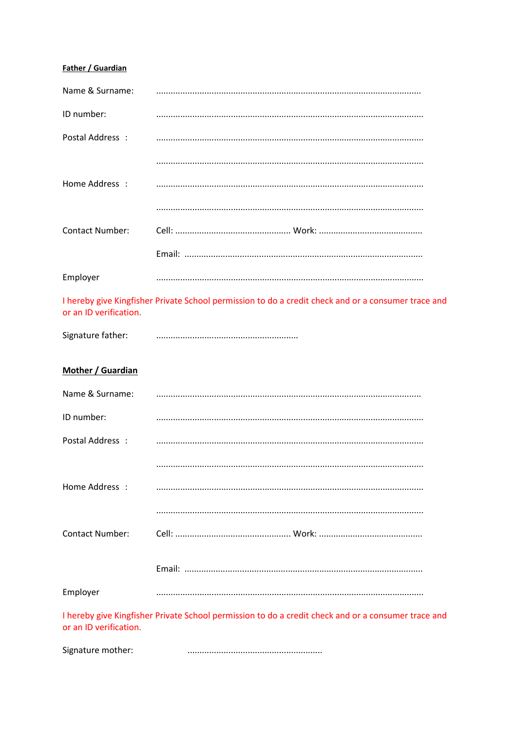## **Father / Guardian**

| Name & Surname:        |                                                                                                     |
|------------------------|-----------------------------------------------------------------------------------------------------|
| ID number:             |                                                                                                     |
| Postal Address :       |                                                                                                     |
|                        |                                                                                                     |
| Home Address :         |                                                                                                     |
|                        |                                                                                                     |
| <b>Contact Number:</b> |                                                                                                     |
|                        |                                                                                                     |
| Employer               |                                                                                                     |
| or an ID verification. | I hereby give Kingfisher Private School permission to do a credit check and or a consumer trace and |
| Signature father:      |                                                                                                     |
| Mother / Guardian      |                                                                                                     |
| Name & Surname:        |                                                                                                     |
| ID number:             |                                                                                                     |
| Postal Address :       |                                                                                                     |
|                        |                                                                                                     |
| Home Address :         |                                                                                                     |
|                        |                                                                                                     |
| <b>Contact Number:</b> |                                                                                                     |
|                        |                                                                                                     |
| Employer               |                                                                                                     |
| or an ID verification. | I hereby give Kingfisher Private School permission to do a credit check and or a consumer trace and |
|                        |                                                                                                     |

Signature mother: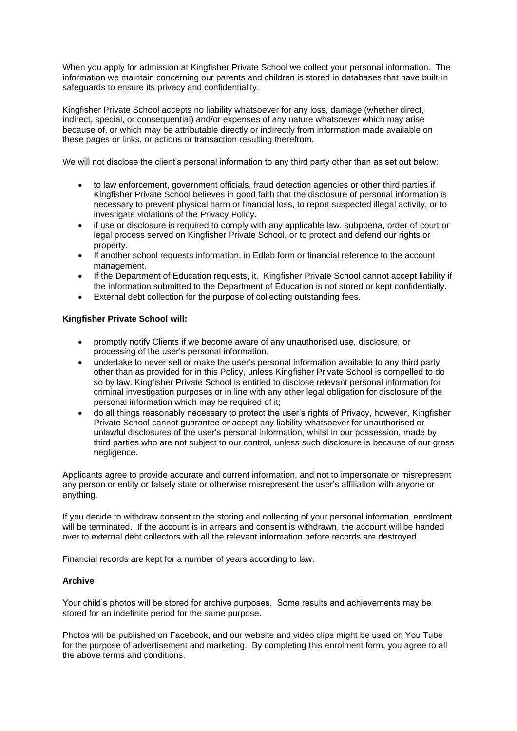When you apply for admission at Kingfisher Private School we collect your personal information. The information we maintain concerning our parents and children is stored in databases that have built-in safeguards to ensure its privacy and confidentiality.

Kingfisher Private School accepts no liability whatsoever for any loss, damage (whether direct, indirect, special, or consequential) and/or expenses of any nature whatsoever which may arise because of, or which may be attributable directly or indirectly from information made available on these pages or links, or actions or transaction resulting therefrom.

We will not disclose the client's personal information to any third party other than as set out below:

- to law enforcement, government officials, fraud detection agencies or other third parties if Kingfisher Private School believes in good faith that the disclosure of personal information is necessary to prevent physical harm or financial loss, to report suspected illegal activity, or to investigate violations of the Privacy Policy.
- if use or disclosure is required to comply with any applicable law, subpoena, order of court or legal process served on Kingfisher Private School, or to protect and defend our rights or property.
- If another school requests information, in Edlab form or financial reference to the account management.
- If the Department of Education requests, it. Kingfisher Private School cannot accept liability if the information submitted to the Department of Education is not stored or kept confidentially.
- External debt collection for the purpose of collecting outstanding fees.

#### **Kingfisher Private School will:**

- promptly notify Clients if we become aware of any unauthorised use, disclosure, or processing of the user's personal information.
- undertake to never sell or make the user's personal information available to any third party other than as provided for in this Policy, unless Kingfisher Private School is compelled to do so by law. Kingfisher Private School is entitled to disclose relevant personal information for criminal investigation purposes or in line with any other legal obligation for disclosure of the personal information which may be required of it;
- do all things reasonably necessary to protect the user's rights of Privacy, however, Kingfisher Private School cannot guarantee or accept any liability whatsoever for unauthorised or unlawful disclosures of the user's personal information, whilst in our possession, made by third parties who are not subject to our control, unless such disclosure is because of our gross negligence.

Applicants agree to provide accurate and current information, and not to impersonate or misrepresent any person or entity or falsely state or otherwise misrepresent the user's affiliation with anyone or anything.

If you decide to withdraw consent to the storing and collecting of your personal information, enrolment will be terminated. If the account is in arrears and consent is withdrawn, the account will be handed over to external debt collectors with all the relevant information before records are destroyed.

Financial records are kept for a number of years according to law.

#### **Archive**

Your child's photos will be stored for archive purposes. Some results and achievements may be stored for an indefinite period for the same purpose.

Photos will be published on Facebook, and our website and video clips might be used on You Tube for the purpose of advertisement and marketing. By completing this enrolment form, you agree to all the above terms and conditions.